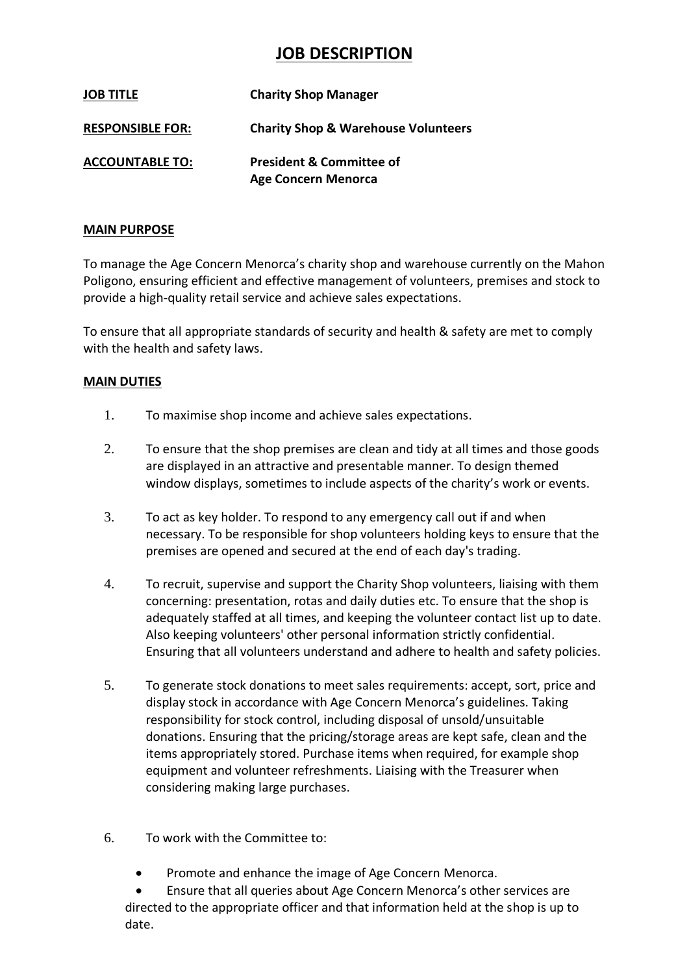## **JOB DESCRIPTION**

| <b>JOB TITLE</b>        | <b>Charity Shop Manager</b>                                       |
|-------------------------|-------------------------------------------------------------------|
| <b>RESPONSIBLE FOR:</b> | <b>Charity Shop &amp; Warehouse Volunteers</b>                    |
| <b>ACCOUNTABLE TO:</b>  | <b>President &amp; Committee of</b><br><b>Age Concern Menorca</b> |

## **MAIN PURPOSE**

To manage the Age Concern Menorca's charity shop and warehouse currently on the Mahon Poligono, ensuring efficient and effective management of volunteers, premises and stock to provide a high-quality retail service and achieve sales expectations.

To ensure that all appropriate standards of security and health & safety are met to comply with the health and safety laws.

## **MAIN DUTIES**

- 1. To maximise shop income and achieve sales expectations.
- 2. To ensure that the shop premises are clean and tidy at all times and those goods are displayed in an attractive and presentable manner. To design themed window displays, sometimes to include aspects of the charity's work or events.
- 3. To act as key holder. To respond to any emergency call out if and when necessary. To be responsible for shop volunteers holding keys to ensure that the premises are opened and secured at the end of each day's trading.
- 4. To recruit, supervise and support the Charity Shop volunteers, liaising with them concerning: presentation, rotas and daily duties etc. To ensure that the shop is adequately staffed at all times, and keeping the volunteer contact list up to date. Also keeping volunteers' other personal information strictly confidential. Ensuring that all volunteers understand and adhere to health and safety policies.
- 5. To generate stock donations to meet sales requirements: accept, sort, price and display stock in accordance with Age Concern Menorca's guidelines. Taking responsibility for stock control, including disposal of unsold/unsuitable donations. Ensuring that the pricing/storage areas are kept safe, clean and the items appropriately stored. Purchase items when required, for example shop equipment and volunteer refreshments. Liaising with the Treasurer when considering making large purchases.
- 6. To work with the Committee to:
	- Promote and enhance the image of Age Concern Menorca.

• Ensure that all queries about Age Concern Menorca's other services are directed to the appropriate officer and that information held at the shop is up to date.